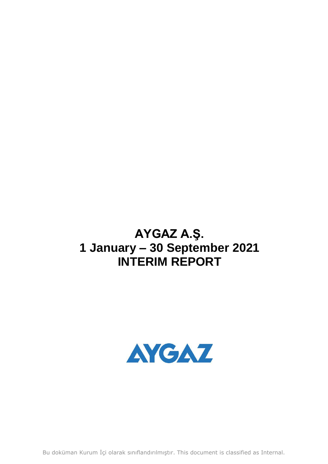# **AYGAZ A.Ş. 1 January – 30 September 2021 INTERIM REPORT**



Bu doküman Kurum İçi olarak sınıflandırılmıştır. This document is classified as Internal.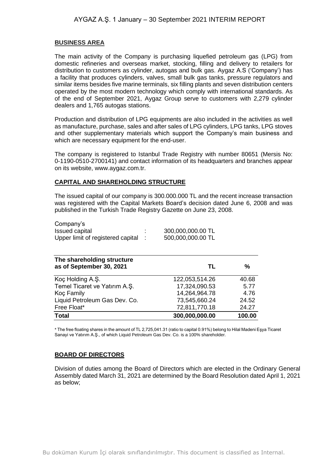## **BUSINESS AREA**

The main activity of the Company is purchasing liquefied petroleum gas (LPG) from domestic refineries and overseas market, stocking, filling and delivery to retailers for distribution to customers as cylinder, autogas and bulk gas. Aygaz A.S ('Company') has a facility that produces cylinders, valves, small bulk gas tanks, pressure regulators and similar items besides five marine terminals, six filling plants and seven distribution centers operated by the most modern technology which comply with international standards. As of the end of September 2021, Aygaz Group serve to customers with 2,279 cylinder dealers and 1,765 autogas stations.

Production and distribution of LPG equipments are also included in the activities as well as manufacture, purchase, sales and after sales of LPG cylinders, LPG tanks, LPG stoves and other supplementary materials which support the Company's main business and which are necessary equipment for the end-user.

The company is registered to Istanbul Trade Registry with number 80651 (Mersis No: 0-1190-0510-2700141) and contact information of its headquarters and branches appear on its website, www.aygaz.com.tr.

# **CAPITAL AND SHAREHOLDING STRUCTURE**

The issued capital of our company is 300.000.000 TL and the recent increase transaction was registered with the Capital Markets Board's decision dated June 6, 2008 and was published in the Turkish Trade Registry Gazette on June 23, 2008.

| Company's                         |                   |
|-----------------------------------|-------------------|
| Issued capital                    | 300,000,000.00 TL |
| Upper limit of registered capital | 500,000,000.00 TL |

| The shareholding structure<br>as of September 30, 2021 | TL             | %      |
|--------------------------------------------------------|----------------|--------|
| Koç Holding A.Ş.                                       | 122,053,514.26 | 40.68  |
| Temel Ticaret ve Yatırım A.Ş.                          | 17,324,090.53  | 5.77   |
| Koç Family                                             | 14,264,964.78  | 4.76   |
| Liquid Petroleum Gas Dev. Co.                          | 73,545,660.24  | 24.52  |
| Free Float*                                            | 72,811,770.18  | 24.27  |
| <b>Total</b>                                           | 300,000,000.00 | 100.00 |

\* The free floating shares in the amount of TL 2,725,041.31 (ratio to capital 0.91%) belong to Hilal Madeni Eşya Ticaret Sanayi ve Yatırım A.Ş., of which Liquid Petroleum Gas Dev. Co. is a 100% shareholder.

# **BOARD OF DIRECTORS**

Division of duties among the Board of Directors which are elected in the Ordinary General Assembly dated March 31, 2021 are determined by the Board Resolution dated April 1, 2021 as below;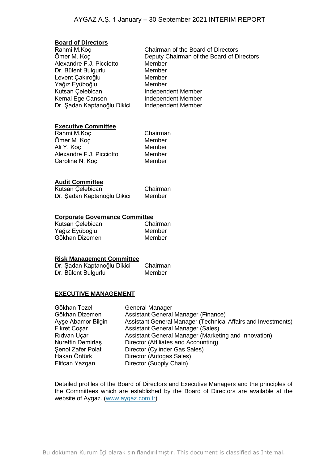#### **Board of Directors**

| Rahmi M.Koç                 |    |
|-----------------------------|----|
| Ömer M. Koç                 | D  |
| Alexandre F.J. Picciotto    | M  |
| Dr. Bülent Bulgurlu         | N  |
| Levent Çakıroğlu            | N  |
| Yağız Eyüboğlu              | N  |
| Kutsan Çelebican            | Ir |
| Kemal Ege Cansen            | Ir |
| Dr. Şadan Kaptanoğlu Dikici | Ir |
|                             |    |

Chairman of the Board of Directors Deputy Chairman of the Board of Directors Aember dember Jember **Member** ndependent Member ndependent Member ndependent Member

# **Executive Committee**

| Rahmi M.Koç              | Chairman |
|--------------------------|----------|
| Ömer M. Koç              | Member   |
| Ali Y. Koç               | Member   |
| Alexandre F.J. Picciotto | Member   |
| Caroline N. Koç          | Member   |
|                          |          |

## **Audit Committee**

| Kutsan Çelebican |                             | Chairman |
|------------------|-----------------------------|----------|
|                  | Dr. Şadan Kaptanoğlu Dikici | Member   |

## **Corporate Governance Committee**

| Kutsan Çelebican | Chairman |
|------------------|----------|
| Yağız Eyüboğlu   | Member   |
| Gökhan Dizemen   | Member   |

#### **Risk Management Committee**

| Dr. Şadan Kaptanoğlu Dikici | Chairman |
|-----------------------------|----------|
| Dr. Bülent Bulgurlu         | Member   |

#### **EXECUTIVE MANAGEMENT**

| Gökhan Tezel             | General Manager                                               |
|--------------------------|---------------------------------------------------------------|
| Gökhan Dizemen           | Assistant General Manager (Finance)                           |
| Ayşe Abamor Bilgin       | Assistant General Manager (Technical Affairs and Investments) |
| Fikret Coşar             | <b>Assistant General Manager (Sales)</b>                      |
| Rıdvan Uçar              | Assistant General Manager (Marketing and Innovation)          |
| <b>Nurettin Demirtas</b> | Director (Affiliates and Accounting)                          |
| Senol Zafer Polat        | Director (Cylinder Gas Sales)                                 |
| Hakan Öntürk             | Director (Autogas Sales)                                      |
| Elifcan Yazgan           | Director (Supply Chain)                                       |
|                          |                                                               |

Detailed profiles of the Board of Directors and Executive Managers and the principles of the Committees which are established by the Board of Directors are available at the website of Aygaz. [\(www.aygaz.com.tr\)](http://www.aygaz.com.tr/)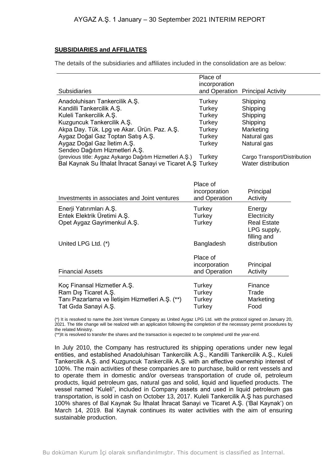## **SUBSIDIARIES and AFFILIATES**

The details of the subsidiaries and affiliates included in the consolidation are as below:

|                                                            | Place of      |                              |
|------------------------------------------------------------|---------------|------------------------------|
|                                                            | incorporation |                              |
| Subsidiaries                                               | and Operation | <b>Principal Activity</b>    |
| Anadoluhisarı Tankercilik A.Ş.                             | Turkey        | Shipping                     |
| Kandilli Tankercilik A.Ş.                                  | Turkey        | Shipping                     |
| Kuleli Tankercilik A.Ş.                                    | Turkey        | Shipping                     |
| Kuzguncuk Tankercilik A.Ş.                                 | Turkey        | Shipping                     |
| Akpa Day. Tük. Lpg ve Akar. Ürün. Paz. A.Ş.                | Turkey        | Marketing                    |
| Aygaz Doğal Gaz Toptan Satış A.Ş.                          | Turkey        | Natural gas                  |
| Aygaz Doğal Gaz İletim A.Ş.                                | Turkey        | Natural gas                  |
| Sendeo Dağıtım Hizmetleri A.Ş.                             |               |                              |
| (previous title: Aygaz Aykargo Dağıtım Hizmetleri A.Ş.)    | Turkey        | Cargo Transport/Distribution |
| Bal Kaynak Su İthalat İhracat Sanayi ve Ticaret A.Ş Turkey |               | Water distribution           |
|                                                            |               |                              |
|                                                            |               |                              |
|                                                            | Place of      |                              |
|                                                            | incorporation | Principal                    |
| Investments in associates and Joint ventures               | and Operation | Activity                     |
| Enerji Yatırımları A.Ş.                                    | Turkey        | Energy                       |
| Entek Elektrik Üretimi A.Ş.                                | <b>Turkey</b> | Electricity                  |
| Opet Aygaz Gayrimenkul A.Ş.                                | Turkey        | <b>Real Estate</b>           |
|                                                            |               | LPG supply,                  |
|                                                            |               | filling and                  |
| United LPG Ltd. (*)                                        | Bangladesh    | distribution                 |
|                                                            |               |                              |
|                                                            | Place of      |                              |
|                                                            | incorporation | Principal                    |
| <b>Financial Assets</b>                                    | and Operation | Activity                     |
|                                                            |               |                              |
| Koç Finansal Hizmetler A.Ş.                                | Turkey        | Finance                      |
| Ram Diş Ticaret A.Ş.                                       | Turkey        | Trade                        |
| Tanı Pazarlama ve İletişim Hizmetleri A.Ş. (**)            | Turkey        | Marketing                    |
| Tat Gida Sanayi A.Ş.                                       | Turkey        | Food                         |

(\*) It is resolved to name the Joint Venture Company as United Aygaz LPG Ltd. with the protocol signed on January 20, 2021. The title change will be realized with an application following the completion of the necessary permit procedures by the related Ministry.

(\*\*)It is resolved to transfer the shares and the transaction is expected to be completed until the year-end.

In July 2010, the Company has restructured its shipping operations under new legal entities, and established Anadoluhisarı Tankercilik A.Ş., Kandilli Tankercilik A.Ş., Kuleli Tankercilik A.Ş. and Kuzguncuk Tankercilik A.Ş. with an effective ownership interest of 100%. The main activities of these companies are to purchase, build or rent vessels and to operate them in domestic and/or overseas transportation of crude oil, petroleum products, liquid petroleum gas, natural gas and solid, liquid and liquefied products. The vessel named "Kuleli", included in Company assets and used in liquid petroleum gas transportation, is sold in cash on October 13, 2017. Kuleli Tankercilik A.Ş has purchased 100% shares of Bal Kaynak Su İthalat İhracat Sanayi ve Ticaret A.Ş. ('Bal Kaynak') on March 14, 2019. Bal Kaynak continues its water activities with the aim of ensuring sustainable production.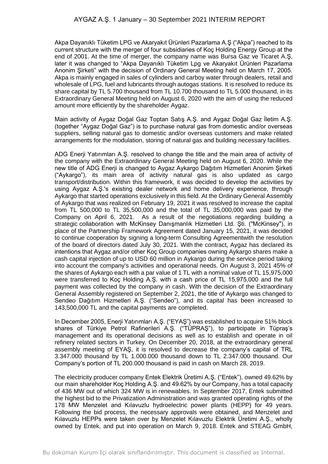Akpa Dayanıklı Tüketim LPG ve Akaryakıt Ürünleri Pazarlama A.Ş ("Akpa") reached to its current structure with the merger of four subsidiaries of Koç Holding Energy Group at the end of 2001. At the time of merger, the company name was Bursa Gaz ve Ticaret A.Ş, later it was changed to "Akpa Dayanıklı Tüketim Lpg ve Akaryakıt Ürünleri Pazarlama Anonim Şirketi" with the decision of Ordinary General Meeting held on March 17, 2005. Akpa is mainly engaged in sales of cylinders and carboy water through dealers, retail and wholesale of LPG, fuel and lubricants through autogas stations. It is resolved to reduce its share capital by TL 5.700 thousand from TL 10.700 thousand to TL 5.000 thousand, in its Extraordinary General Meeting held on August 6, 2020 with the aim of using the reduced amount more efficiently by the shareholder Aygaz.

Main activity of Aygaz Doğal Gaz Toptan Satış A.Ş. and Aygaz Doğal Gaz İletim A.Ş. (together "Aygaz Doğal Gaz") is to purchase natural gas from domestic and/or overseas suppliers, selling natural gas to domestic and/or overseas customers and make related arrangements for the modulation, storing of natural gas and building necessary facilities.

ADG Enerji Yatırımları A.Ş. resolved to change the title and the main area of activity of the company with the Extraordinary General Meeting held on August 6, 2020. While the new title of ADG Enerji is changed to Aygaz Aykargo Dağıtım Hizmetleri Anonim Şirketi ("Aykargo"), its main area of activity natural gas is also updated as cargo transport/distribution. Within this framework, it was decided to develop the activities by using Aygaz A.Ş.'s existing dealer network and home delivery experience, through Aykargo that started operations exclusively in this field. At the Ordinary General Assembly of Aykargo that was realized on February 19, 2021 it was resolved to increase the capital from TL 500,000 to TL 35,500,000 and the total of TL 35,000,000 was paid by the Company on April 6, 2021. As a result of the negotiations regarding building a strategic collaboration with McKinsey Danışmanlık Hizmetleri Ltd. Şti. ("McKinsey"), in place of the Partnership Framework Agreement dated January 15, 2021, it was decided to continue cooperation by signing a long-term Consulting Agreementwith the resolution of the board of directors dated July 30, 2021. With the contract, Aygaz has declared its intentions that Aygaz and/or other Koç Group companies owning Aykargo shares make a cash capital injection of up to USD 60 million in Aykargo during the service period taking into account the company's activities and operational needs. On August 3, 2021 45% of the shares of Aykargo each with a par value of 1 TL with a nominal value of TL 15,975,000 were transferred to Koç Holding A.Ş. with a cash price of TL 15,975,000 and the full payment was collected by the company in cash. With the decision of the Extraordinary General Assembly registered on September 2, 2021, the title of Aykargo was changed to Sendeo Dağıtım Hizmetleri A.Ş. ("Sendeo"), and its capital has been increased to 143,500,000 TL and the capital payments are completed.

In December 2005, Enerji Yatırımları A.Ş. ("EYAŞ") was established to acquire 51% block shares of Türkiye Petrol Rafinerileri A.Ş. ("TÜPRAŞ"), to participate in Tüpraş's management and its operational decisions as well as to establish and operate in oil refinery related sectors in Turkey. On December 20, 2018, at the extraordinary general assembly meeting of EYAŞ, it is resolved to decrease the company's capital of TRL 3.347.000 thousand by TL 1.000.000 thousand down to TL 2.347.000 thousand. Our Company's portion of TL 200.000 thousand is paid in cash on March 28, 2019.

The electricity producer company Entek Elektrik Üretimi A.Ş. ("Entek"), owned 49.62% by our main shareholder Koç Holding A.Ş. and 49.62% by our Company, has a total capacity of 436 MW out of which 324 MW is in renewables. In September 2017, Entek submitted the highest bid to the Privatization Administration and was granted operating rights of the 178 MW Menzelet and Kılavuzlu hydroelectric power plants (HEPP) for 49 years. Following the bid process, the necessary approvals were obtained, and Menzelet and Kılavuzlu HEPPs were taken over by Menzelet Kılavuzlu Elektrik Üretimi A.Ş., wholly owned by Entek, and put into operation on March 9, 2018. Entek and STEAG GmbH,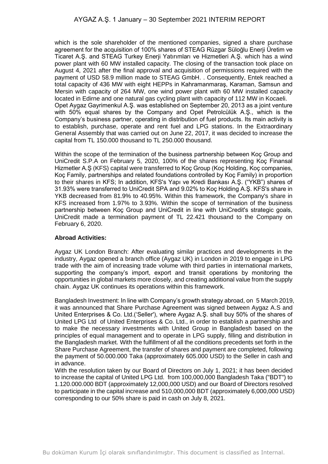which is the sole shareholder of the mentioned companies, signed a share purchase agreement for the acquisition of 100% shares of STEAG Rüzgar Süloğlu Enerji Üretim ve Ticaret A.Ş. and STEAG Turkey Enerji Yatırımları ve Hizmetleri A.Ş. which has a wind power plant with 60 MW installed capacity. The closing of the transaction took place on August 4, 2021 after the final approval and acquisition of permissions required with the payment of USD 58.9 million made to STEAG GmbH. . Consequently, Entek reached a total capacity of 436 MW with eight HEPPs in Kahramanmaraş, Karaman, Samsun and Mersin with capacity of 264 MW, one wind power plant with 60 MW installed capacity located in Edirne and one natural gas cycling plant with capacity of 112 MW in Kocaeli. Opet Aygaz Gayrimenkul A.Ş. was established on September 20, 2013 as a joint venture with 50% equal shares by the Company and Opet Petrolcülük A.Ş., which is the Company's business partner, operating in distribution of fuel products. Its main activity is to establish, purchase, operate and rent fuel and LPG stations. In the Extraordinary General Assembly that was carried out on June 22, 2017, it was decided to increase the capital from TL 150.000 thousand to TL 250.000 thousand.

Within the scope of the termination of the business partnership between Koc Group and UniCredit S.P.A on February 5, 2020, 100% of the shares representing Koç Finansal Hizmetler A.Ş (KFS) capital were transferred to Koç Group (Koç Holding, Koç companies, Koç Family, partnerships and related foundations controlled by Koç Family) in proportion to their shares in KFS; In addition, KFS's Yapı ve Kredi Bankası A.Ş. ("YKB") shares of 31.93% were transferred to UniCredit SPA and 9.02% to Koç Holding A.Ş. KFS's share in YKB decreased from 81.9% to 40.95%. Within this framework, the Company's share in KFS increased from 1.97% to 3.93%. Within the scope of termination of the business partnership between Koç Group and UniCredit in line with UniCredit's strategic goals, UniCredit made a termination payment of TL 22.421 thousand to the Company on February 6, 2020.

#### **Abroad Activities:**

Aygaz UK London Branch: After evaluating similar practices and developments in the industry, Aygaz opened a branch office (Aygaz UK) in London in 2019 to engage in LPG trade with the aim of increasing trade volume with third parties in international markets, supporting the company's import, export and transit operations by monitoring the opportunities in global markets more closely, and creating additional value from the supply chain. Aygaz UK continues its operations within this framework.

Bangladesh Investment: In line with Company's growth strategy abroad, on 5 March 2019, it was announced that Share Purchase Agreement was signed between Aygaz A.S and United Enterprises & Co. Ltd.('Seller'), where Aygaz A.Ş. shall buy 50% of the shares of United LPG Ltd of United Enterprises & Co. Ltd., in order to establish a partnership and to make the necessary investments with United Group in Bangladesh based on the principles of equal management and to operate in LPG supply, filling and distribution in the Bangladesh market. With the fulfillment of all the conditions precedents set forth in the Share Purchase Agreement, the transfer of shares and payment are completed, following the payment of 50.000.000 Taka (approximately 605.000 USD) to the Seller in cash and in advance.

With the resolution taken by our Board of Directors on July 1, 2021; it has been decided to increase the capital of United LPG Ltd. from 100,000,000 Bangladesh Taka ("BDT") to 1.120.000.000 BDT (approximately 12,000,000 USD) and our Board of Directors resolved to participate in the capital increase and 510,000,000 BDT (approximately 6,000,000 USD) corresponding to our 50% share is paid in cash on July 8, 2021.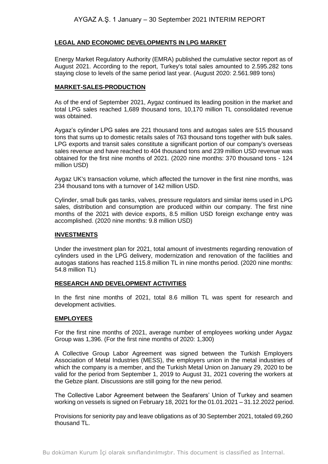# **LEGAL AND ECONOMIC DEVELOPMENTS IN LPG MARKET**

Energy Market Regulatory Authority (EMRA) published the cumulative sector report as of August 2021. According to the report, Turkey's total sales amounted to 2.595.282 tons staying close to levels of the same period last year. (August 2020: 2.561.989 tons)

## **MARKET-SALES-PRODUCTION**

As of the end of September 2021, Aygaz continued its leading position in the market and total LPG sales reached 1,689 thousand tons, 10,170 million TL consolidated revenue was obtained.

Aygaz's cylinder LPG sales are 221 thousand tons and autogas sales are 515 thousand tons that sums up to domestic retails sales of 763 thousand tons together with bulk sales. LPG exports and transit sales constitute a significant portion of our company's overseas sales revenue and have reached to 404 thousand tons and 239 million USD revenue was obtained for the first nine months of 2021. (2020 nine months: 370 thousand tons - 124 million USD)

Aygaz UK's transaction volume, which affected the turnover in the first nine months, was 234 thousand tons with a turnover of 142 million USD.

Cylinder, small bulk gas tanks, valves, pressure regulators and similar items used in LPG sales, distribution and consumption are produced within our company. The first nine months of the 2021 with device exports, 8.5 million USD foreign exchange entry was accomplished. (2020 nine months: 9.8 million USD)

## **INVESTMENTS**

Under the investment plan for 2021, total amount of investments regarding renovation of cylinders used in the LPG delivery, modernization and renovation of the facilities and autogas stations has reached 115.8 million TL in nine months period. (2020 nine months: 54.8 million TL)

## **RESEARCH AND DEVELOPMENT ACTIVITIES**

In the first nine months of 2021, total 8.6 million TL was spent for research and development activities.

# **EMPLOYEES**

For the first nine months of 2021, average number of employees working under Aygaz Group was 1,396. (For the first nine months of 2020: 1,300)

A Collective Group Labor Agreement was signed between the Turkish Employers Association of Metal Industries (MESS), the employers union in the metal industries of which the company is a member, and the Turkish Metal Union on January 29, 2020 to be valid for the period from September 1, 2019 to August 31, 2021 covering the workers at the Gebze plant. Discussions are still going for the new period.

The Collective Labor Agreement between the Seafarers' Union of Turkey and seamen working on vessels is signed on February 18, 2021 for the 01.01.2021 – 31.12.2022 period.

Provisions for seniority pay and leave obligations as of 30 September 2021, totaled 69,260 thousand TL.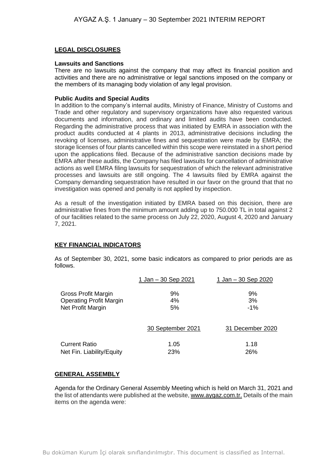# **LEGAL DISCLOSURES**

## **Lawsuits and Sanctions**

There are no lawsuits against the company that may affect its financial position and activities and there are no administrative or legal sanctions imposed on the company or the members of its managing body violation of any legal provision.

## **Public Audits and Special Audits**

In addition to the company's internal audits, Ministry of Finance, Ministry of Customs and Trade and other regulatory and supervisory organizations have also requested various documents and information, and ordinary and limited audits have been conducted. Regarding the administrative process that was initiated by EMRA in association with the product audits conducted at 4 plants in 2013, administrative decisions including the revoking of licenses, administrative fines and sequestration were made by EMRA; the storage licenses of four plants cancelled within this scope were reinstated in a short period upon the applications filed. Because of the administrative sanction decisions made by EMRA after these audits, the Company has filed lawsuits for cancellation of administrative actions as well EMRA filing lawsuits for sequestration of which the relevant administrative processes and lawsuits are still ongoing. The 4 lawsuits filed by EMRA against the Company demanding sequestration have resulted in our favor on the ground that that no investigation was opened and penalty is not applied by inspection.

As a result of the investigation initiated by EMRA based on this decision, there are administrative fines from the minimum amount adding up to 750.000 TL in total against 2 of our facilities related to the same process on July 22, 2020, August 4, 2020 and January 7, 2021.

# **KEY FINANCIAL INDICATORS**

As of September 30, 2021, some basic indicators as compared to prior periods are as follows.

|                                | 1 Jan – 30 Sep 2021 | 1 Jan – 30 Sep 2020 |
|--------------------------------|---------------------|---------------------|
| Gross Profit Margin            | 9%                  | 9%                  |
| <b>Operating Profit Margin</b> | 4%                  | 3%                  |
| Net Profit Margin              | 5%                  | $-1\%$              |
|                                | 30 September 2021   | 31 December 2020    |
| <b>Current Ratio</b>           | 1.05                | 1.18                |
| Net Fin. Liability/Equity      | 23%                 | 26%                 |

# **GENERAL ASSEMBLY**

Agenda for the Ordinary General Assembly Meeting which is held on March 31, 2021 and the list of attendants were published at the website, [www.aygaz.com.tr.](http://www.aygaz.com.tr/) Details of the main items on the agenda were: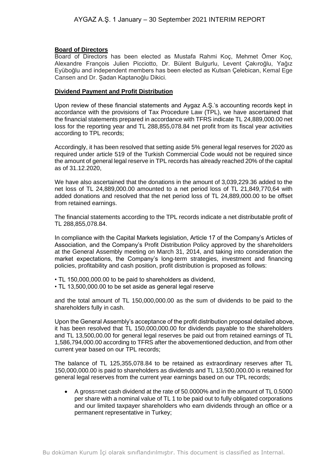## **Board of Directors**

Board of Directors has been elected as Mustafa Rahmi Koç, Mehmet Ömer Koç, Alexandre François Julien Picciotto, Dr. Bülent Bulgurlu, Levent Çakıroğlu, Yağız Eyüboğlu and independent members has been elected as Kutsan Çelebican, Kemal Ege Cansen and Dr. Şadan Kaptanoğlu Dikici.

## **Dividend Payment and Profit Distribution**

Upon review of these financial statements and Aygaz A.Ş.'s accounting records kept in accordance with the provisions of Tax Procedure Law (TPL), we have ascertained that the financial statements prepared in accordance with TFRS indicate TL 24,889,000.00 net loss for the reporting year and TL 288,855,078.84 net profit from its fiscal year activities according to TPL records;

Accordingly, it has been resolved that setting aside 5% general legal reserves for 2020 as required under article 519 of the Turkish Commercial Code would not be required since the amount of general legal reserve in TPL records has already reached 20% of the capital as of 31.12.2020,

We have also ascertained that the donations in the amount of 3,039,229.36 added to the net loss of TL 24,889,000.00 amounted to a net period loss of TL 21,849,770,64 with added donations and resolved that the net period loss of TL 24,889,000.00 to be offset from retained earnings.

The financial statements according to the TPL records indicate a net distributable profit of TL 288,855,078.84.

In compliance with the Capital Markets legislation, Article 17 of the Company's Articles of Association, and the Company's Profit Distribution Policy approved by the shareholders at the General Assembly meeting on March 31, 2014, and taking into consideration the market expectations, the Company's long-term strategies, investment and financing policies, profitability and cash position, profit distribution is proposed as follows:

- TL 150,000,000.00 to be paid to shareholders as dividend,
- TL 13,500,000.00 to be set aside as general legal reserve

and the total amount of TL 150,000,000.00 as the sum of dividends to be paid to the shareholders fully in cash.

Upon the General Assembly's acceptance of the profit distribution proposal detailed above, it has been resolved that TL 150,000,000.00 for dividends payable to the shareholders and TL 13,500,00.00 for general legal reserves be paid out from retained earnings of TL 1,586,794,000.00 according to TFRS after the abovementioned deduction, and from other current year based on our TPL records;

The balance of TL 125,355,078.84 to be retained as extraordinary reserves after TL 150,000,000.00 is paid to shareholders as dividends and TL 13,500,000.00 is retained for general legal reserves from the current year earnings based on our TPL records;

• A gross=net cash dividend at the rate of 50.0000% and in the amount of TL 0.5000 per share with a nominal value of TL 1 to be paid out to fully obligated corporations and our limited taxpayer shareholders who earn dividends through an office or a permanent representative in Turkey;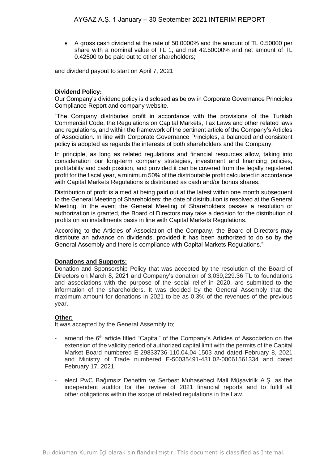• A gross cash dividend at the rate of 50.0000% and the amount of TL 0.50000 per share with a nominal value of TL 1, and net 42.50000% and net amount of TL 0.42500 to be paid out to other shareholders;

and dividend payout to start on April 7, 2021.

## **Dividend Policy:**

Our Company's dividend policy is disclosed as below in Corporate Governance Principles Compliance Report and company website.

"The Company distributes profit in accordance with the provisions of the Turkish Commercial Code, the Regulations on Capital Markets, Tax Laws and other related laws and regulations, and within the framework of the pertinent article of the Company's Articles of Association. In line with Corporate Governance Principles, a balanced and consistent policy is adopted as regards the interests of both shareholders and the Company.

In principle, as long as related regulations and financial resources allow, taking into consideration our long-term company strategies, investment and financing policies, profitability and cash position, and provided it can be covered from the legally registered profit for the fiscal year, a minimum 50% of the distributable profit calculated in accordance with Capital Markets Regulations is distributed as cash and/or bonus shares.

Distribution of profit is aimed at being paid out at the latest within one month subsequent to the General Meeting of Shareholders; the date of distribution is resolved at the General Meeting. In the event the General Meeting of Shareholders passes a resolution or authorization is granted, the Board of Directors may take a decision for the distribution of profits on an installments basis in line with Capital Markets Regulations.

According to the Articles of Association of the Company, the Board of Directors may distribute an advance on dividends, provided it has been authorized to do so by the General Assembly and there is compliance with Capital Markets Regulations."

#### **Donations and Supports:**

Donation and Sponsorship Policy that was accepted by the resolution of the Board of Directors on March 8, 2021 and Company's donation of 3,039,229.36 TL to foundations and associations with the purpose of the social relief in 2020, are submitted to the information of the shareholders. It was decided by the General Assembly that the maximum amount for donations in 2021 to be as 0.3% of the revenues of the previous year.

#### **Other:**

It was accepted by the General Assembly to;

- amend the 6<sup>th</sup> article titled "Capital" of the Company's Articles of Association on the extension of the validity period of authorized capital limit with the permits of the Capital Market Board numbered E-29833736-110.04.04-1503 and dated February 8, 2021 and Ministry of Trade numbered E-50035491-431.02-00061561334 and dated February 17, 2021.
- elect PwC Bağımsız Denetim ve Serbest Muhasebeci Mali Müşavirlik A.Ş. as the independent auditor for the review of 2021 financial reports and to fulfill all other obligations within the scope of related regulations in the Law.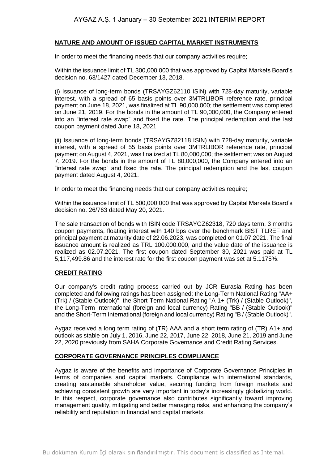## **NATURE AND AMOUNT OF ISSUED CAPITAL MARKET INSTRUMENTS**

In order to meet the financing needs that our company activities require;

Within the issuance limit of TL 300,000,000 that was approved by Capital Markets Board's decision no. 63/1427 dated December 13, 2018.

(i) Issuance of long-term bonds (TRSAYGZ62110 ISIN) with 728-day maturity, variable interest, with a spread of 65 basis points over 3MTRLIBOR reference rate, principal payment on June 18, 2021, was finalized at TL 90,000,000; the settlement was completed on June 21, 2019. For the bonds in the amount of TL 90,000,000, the Company entered into an "interest rate swap" and fixed the rate. The principal redemption and the last coupon payment dated June 18, 2021

(ii) Issuance of long-term bonds (TRSAYGZ82118 ISIN) with 728-day maturity, variable interest, with a spread of 55 basis points over 3MTRLIBOR reference rate, principal payment on August 4, 2021, was finalized at TL 80,000,000; the settlement was on August 7, 2019. For the bonds in the amount of TL 80,000,000, the Company entered into an "interest rate swap" and fixed the rate. The principal redemption and the last coupon payment dated August 4, 2021.

In order to meet the financing needs that our company activities require;

Within the issuance limit of TL 500,000,000 that was approved by Capital Markets Board's decision no. 26/763 dated May 20, 2021.

The sale transaction of bonds with ISIN code TRSAYGZ62318, 720 days term, 3 months coupon payments, floating interest with 140 bps over the benchmark BIST TLREF and principal payment at maturity date of 22.06.2023, was completed on 01.07.2021. The final issuance amount is realized as TRL 100.000.000, and the value date of the issuance is realized as 02.07.2021. The first coupon dated September 30, 2021 was paid at TL 5,117,499.86 and the interest rate for the first coupon payment was set at 5.1175%.

# **CREDIT RATING**

Our company's credit rating process carried out by JCR Eurasia Rating has been completed and following ratings has been assigned; the Long-Term National Rating "AA+ (Trk) / (Stable Outlook)", the Short-Term National Rating "A-1+ (Trk) / (Stable Outlook)", the Long-Term International (foreign and local currency) Rating "BB / (Stable Outlook)" and the Short-Term International (foreign and local currency) Rating "B / (Stable Outlook)".

Aygaz received a long term rating of (TR) AAA and a short term rating of (TR) A1+ and outlook as stable on July 1, 2016, June 22, 2017, June 22, 2018, June 21, 2019 and June 22, 2020 previously from SAHA Corporate Governance and Credit Rating Services.

#### **CORPORATE GOVERNANCE PRINCIPLES COMPLIANCE**

Aygaz is aware of the benefits and importance of Corporate Governance Principles in terms of companies and capital markets. Compliance with international standards, creating sustainable shareholder value, securing funding from foreign markets and achieving consistent growth are very important in today's increasingly globalizing world. In this respect, corporate governance also contributes significantly toward improving management quality, mitigating and better managing risks, and enhancing the company's reliability and reputation in financial and capital markets.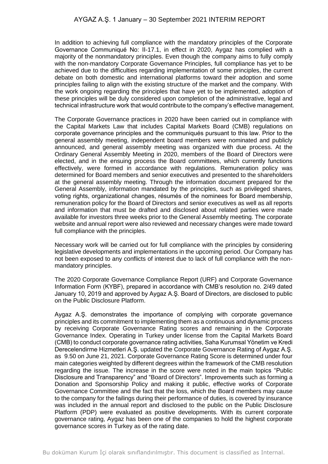In addition to achieving full compliance with the mandatory principles of the Corporate Governance Communiqué No: II-17.1, in effect in 2020, Aygaz has complied with a majority of the nonmandatory principles. Even though the company aims to fully comply with the non-mandatory Corporate Governance Principles, full compliance has yet to be achieved due to the difficulties regarding implementation of some principles, the current debate on both domestic and international platforms toward their adoption and some principles failing to align with the existing structure of the market and the company. With the work ongoing regarding the principles that have yet to be implemented, adoption of these principles will be duly considered upon completion of the administrative, legal and technical infrastructure work that would contribute to the company's effective management.

The Corporate Governance practices in 2020 have been carried out in compliance with the Capital Markets Law that includes Capital Markets Board (CMB) regulations on corporate governance principles and the communiqués pursuant to this law. Prior to the general assembly meeting, independent board members were nominated and publicly announced, and general assembly meeting was organized with due process. At the Ordinary General Assembly Meeting in 2020, members of the Board of Directors were elected, and in the ensuing process the Board committees, which currently functions effectively, were formed in accordance with regulations. Remuneration policy was determined for Board members and senior executives and presented to the shareholders at the general assembly meeting. Through the information document prepared for the General Assembly, information mandated by the principles, such as privileged shares, voting rights, organizational changes, résumés of the nominees for Board membership, remuneration policy for the Board of Directors and senior executives as well as all reports and information that must be drafted and disclosed about related parties were made available for investors three weeks prior to the General Assembly meeting. The corporate website and annual report were also reviewed and necessary changes were made toward full compliance with the principles.

Necessary work will be carried out for full compliance with the principles by considering legislative developments and implementations in the upcoming period. Our Company has not been exposed to any conflicts of interest due to lack of full compliance with the nonmandatory principles.

The 2020 Corporate Governance Compliance Report (URF) and Corporate Governance Information Form (KYBF), prepared in accordance with CMB's resolution no. 2/49 dated January 10, 2019 and approved by Aygaz A.Ş. Board of Directors, are disclosed to public on the Public Disclosure Platform.

Aygaz A.Ş. demonstrates the importance of complying with corporate governance principles and its commitment to implementing them as a continuous and dynamic process by receiving Corporate Governance Rating scores and remaining in the Corporate Governance Index. Operating in Turkey under license from the Capital Markets Board (CMB) to conduct corporate governance rating activities, Saha Kurumsal Yönetim ve Kredi Derecelendirme Hizmetleri A.Ş. updated the Corporate Governance Rating of Aygaz A.Ş. as 9.50 on June 21, 2021. Corporate Governance Rating Score is determined under four main categories weighted by different degrees within the framework of the CMB resolution regarding the issue. The increase in the score were noted in the main topics "Public Disclosure and Transparency" and "Board of Directors". Improvements such as forming a Donation and Sponsorship Policy and making it public, effective works of Corporate Governance Committee and the fact that the loss, which the Board members may cause to the company for the failings during their performance of duties, is covered by insurance was included in the annual report and disclosed to the public on the Public Disclosure Platform (PDP) were evaluated as positive developments. With its current corporate governance rating, Aygaz has been one of the companies to hold the highest corporate governance scores in Turkey as of the rating date.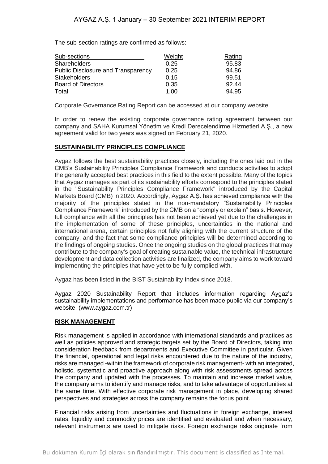The sub-section ratings are confirmed as follows:

| Sub-sections                       | Weight | Rating |
|------------------------------------|--------|--------|
| <b>Shareholders</b>                | 0.25   | 95.83  |
| Public Disclosure and Transparency | 0.25   | 94.86  |
| <b>Stakeholders</b>                | 0.15   | 99.51  |
| <b>Board of Directors</b>          | 0.35   | 92.44  |
| Total                              | 1.00   | 94.95  |

Corporate Governance Rating Report can be accessed at our company website.

In order to renew the existing corporate governance rating agreement between our company and SAHA Kurumsal Yönetim ve Kredi Derecelendirme Hizmetleri A.Ş., a new agreement valid for two years was signed on February 21, 2020.

# **SUSTAINABILITY PRINCIPLES COMPLIANCE**

Aygaz follows the best sustainability practices closely, including the ones laid out in the CMB's Sustainability Principles Compliance Framework and conducts activities to adopt the generally accepted best practices in this field to the extent possible. Many of the topics that Aygaz manages as part of its sustainability efforts correspond to the principles stated in the "Sustainability Principles Compliance Framework" introduced by the Capital Markets Board (CMB) in 2020. Accordingly, Aygaz A.Ş. has achieved compliance with the majority of the principles stated in the non-mandatory "Sustainability Principles Compliance Framework" introduced by the CMB on a "comply or explain" basis. However, full compliance with all the principles has not been achieved yet due to the challenges in the implementation of some of these principles, uncertainties in the national and international arena, certain principles not fully aligning with the current structure of the company, and the fact that some compliance principles will be determined according to the findings of ongoing studies. Once the ongoing studies on the global practices that may contribute to the company's goal of creating sustainable value, the technical infrastructure development and data collection activities are finalized, the company aims to work toward implementing the principles that have yet to be fully complied with.

Aygaz has been listed in the BIST Sustainability Index since 2018.

Aygaz 2020 Sustainability Report that includes information regarding Aygaz's sustainability implementations and performance has been made public via our company's website. (www.aygaz.com.tr)

# **RISK MANAGEMENT**

Risk management is applied in accordance with international standards and practices as well as policies approved and strategic targets set by the Board of Directors, taking into consideration feedback from departments and Executive Committee in particular. Given the financial, operational and legal risks encountered due to the nature of the industry, risks are managed -within the framework of corporate risk management- with an integrated, holistic, systematic and proactive approach along with risk assessments spread across the company and updated with the processes. To maintain and increase market value, the company aims to identify and manage risks, and to take advantage of opportunities at the same time. With effective corporate risk management in place, developing shared perspectives and strategies across the company remains the focus point.

Financial risks arising from uncertainties and fluctuations in foreign exchange, interest rates, liquidity and commodity prices are identified and evaluated and when necessary, relevant instruments are used to mitigate risks. Foreign exchange risks originate from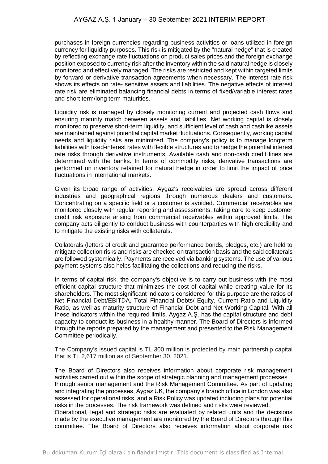purchases in foreign currencies regarding business activities or loans utilized in foreign currency for liquidity purposes. This risk is mitigated by the "natural hedge" that is created by reflecting exchange rate fluctuations on product sales prices and the foreign exchange position exposed to currency risk after the inventory within the said natural hedge is closely monitored and effectively managed. The risks are restricted and kept within targeted limits by forward or derivative transaction agreements when necessary. The interest rate risk shows its effects on rate- sensitive assets and liabilities. The negative effects of interest rate risk are eliminated balancing financial debts in terms of fixed/variable interest rates and short term/long term maturities.

Liquidity risk is managed by closely monitoring current and projected cash flows and ensuring maturity match between assets and liabilities. Net working capital is closely monitored to preserve short-term liquidity, and sufficient level of cash and cashlike assets are maintained against potential capital market fluctuations. Consequently, working capital needs and liquidity risks are minimized. The company's policy is to manage longterm liabilities with fixed-interest rates with flexible structures and to hedge the potential interest rate risks through derivative instruments. Available cash and non-cash credit lines are determined with the banks. In terms of commodity risks, derivative transactions are performed on inventory retained for natural hedge in order to limit the impact of price fluctuations in international markets.

Given its broad range of activities, Aygaz's receivables are spread across different industries and geographical regions through numerous dealers and customers. Concentrating on a specific field or a customer is avoided. Commercial receivables are monitored closely with regular reporting and assessments, taking care to keep customer credit risk exposure arising from commercial receivables within approved limits. The company acts diligently to conduct business with counterparties with high credibility and to mitigate the existing risks with collaterals.

Collaterals (letters of credit and guarantee performance bonds, pledges, etc.) are held to mitigate collection risks and risks are checked on transaction basis and the said collaterals are followed systemically. Payments are received via banking systems. The use of various payment systems also helps facilitating the collections and reducing the risks.

In terms of capital risk, the company's objective is to carry out business with the most efficient capital structure that minimizes the cost of capital while creating value for its shareholders. The most significant indicators considered for this purpose are the ratios of Net Financial Debt/EBITDA, Total Financial Debts/ Equity, Current Ratio and Liquidity Ratio, as well as maturity structure of Financial Debt and Net Working Capital. With all these indicators within the required limits, Aygaz A.Ş. has the capital structure and debt capacity to conduct its business in a healthy manner. The Board of Directors is informed through the reports prepared by the management and presented to the Risk Management Committee periodically.

The Company's issued capital is TL 300 million is protected by main partnership capital that is TL 2,617 million as of September 30, 2021.

The Board of Directors also receives information about corporate risk management activities carried out within the scope of strategic planning and management processes through senior management and the Risk Management Committee. As part of updating and integrating the processes, Aygaz UK, the company's branch office in London was also assessed for operational risks, and a Risk Policy was updated including plans for potential risks in the processes. The risk framework was defined and risks were reviewed. Operational, legal and strategic risks are evaluated by related units and the decisions made by the executive management are monitored by the Board of Directors through this committee. The Board of Directors also receives information about corporate risk